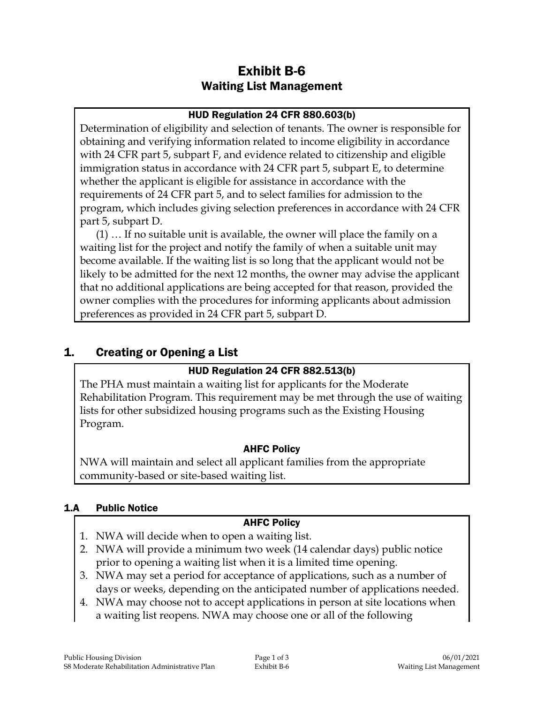# Exhibit B-6 Waiting List Management

### HUD Regulation 24 CFR 880.603(b)

Determination of eligibility and selection of tenants. The owner is responsible for obtaining and verifying information related to income eligibility in accordance with 24 CFR part 5, subpart F, and evidence related to citizenship and eligible immigration status in accordance with 24 CFR part 5, subpart E, to determine whether the applicant is eligible for assistance in accordance with the requirements of 24 CFR part 5, and to select families for admission to the program, which includes giving selection preferences in accordance with 24 CFR part 5, subpart D.

(1) … If no suitable unit is available, the owner will place the family on a waiting list for the project and notify the family of when a suitable unit may become available. If the waiting list is so long that the applicant would not be likely to be admitted for the next 12 months, the owner may advise the applicant that no additional applications are being accepted for that reason, provided the owner complies with the procedures for informing applicants about admission preferences as provided in 24 CFR part 5, subpart D.

## 1. Creating or Opening a List

## HUD Regulation 24 CFR 882.513(b)

The PHA must maintain a waiting list for applicants for the Moderate Rehabilitation Program. This requirement may be met through the use of waiting lists for other subsidized housing programs such as the Existing Housing Program.

### AHFC Policy

NWA will maintain and select all applicant families from the appropriate community-based or site-based waiting list.

### 1.A Public Notice

### AHFC Policy

- 1. NWA will decide when to open a waiting list.
- 2. NWA will provide a minimum two week (14 calendar days) public notice prior to opening a waiting list when it is a limited time opening.
- 3. NWA may set a period for acceptance of applications, such as a number of days or weeks, depending on the anticipated number of applications needed.
- 4. NWA may choose not to accept applications in person at site locations when a waiting list reopens. NWA may choose one or all of the following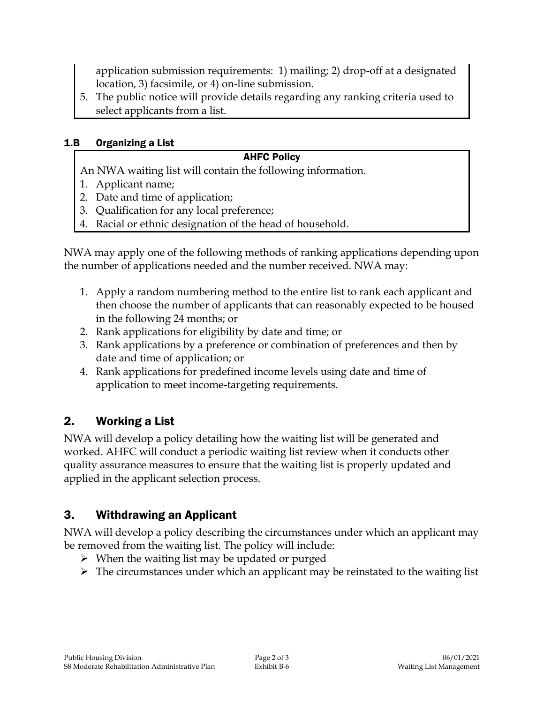application submission requirements: 1) mailing; 2) drop-off at a designated location, 3) facsimile, or 4) on-line submission.

5. The public notice will provide details regarding any ranking criteria used to select applicants from a list.

### 1.B Organizing a List

## AHFC Policy

- An NWA waiting list will contain the following information.
- 1. Applicant name;
- 2. Date and time of application;
- 3. Qualification for any local preference;
- 4. Racial or ethnic designation of the head of household.

NWA may apply one of the following methods of ranking applications depending upon the number of applications needed and the number received. NWA may:

- 1. Apply a random numbering method to the entire list to rank each applicant and then choose the number of applicants that can reasonably expected to be housed in the following 24 months; or
- 2. Rank applications for eligibility by date and time; or
- 3. Rank applications by a preference or combination of preferences and then by date and time of application; or
- 4. Rank applications for predefined income levels using date and time of application to meet income-targeting requirements.

# 2. Working a List

NWA will develop a policy detailing how the waiting list will be generated and worked. AHFC will conduct a periodic waiting list review when it conducts other quality assurance measures to ensure that the waiting list is properly updated and applied in the applicant selection process.

# 3. Withdrawing an Applicant

NWA will develop a policy describing the circumstances under which an applicant may be removed from the waiting list. The policy will include:

- $\triangleright$  When the waiting list may be updated or purged
- $\triangleright$  The circumstances under which an applicant may be reinstated to the waiting list